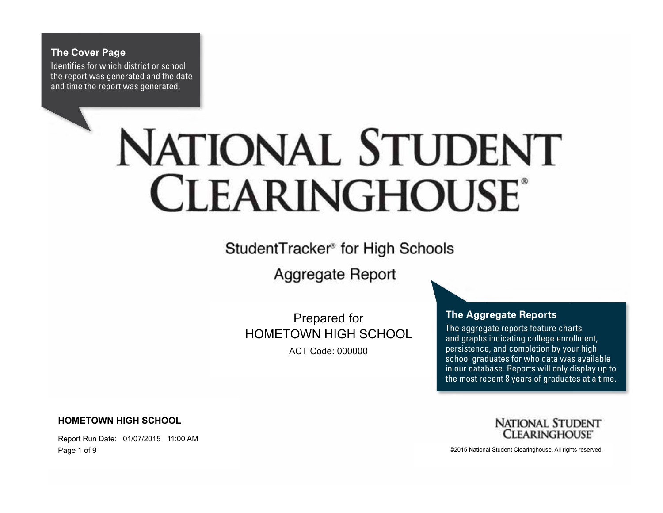#### **The Cover Page**

Identifies for which district or school the report was generated and the date and time the report was generated.

# **NATIONAL STUDENT CLEARINGHOUSE®**

StudentTracker® for High Schools

Aggregate Report

Prepared for HOMETOWN HIGH SCHOOL ACT Code: 000000

#### **The Aggregate Reports**

The aggregate reports feature charts and graphs indicating college enrollment, persistence, and completion by your high school graduates for who data was available in our database. Reports will only display up to the most recent 8 years of graduates at a time.

**HOMETOWN HIGH SCHOOL**

Report Run Date: 01/07/2015 11:00 AM Page 1 of 9 **Decisional Student Clearinghouse.** All rights reserved.

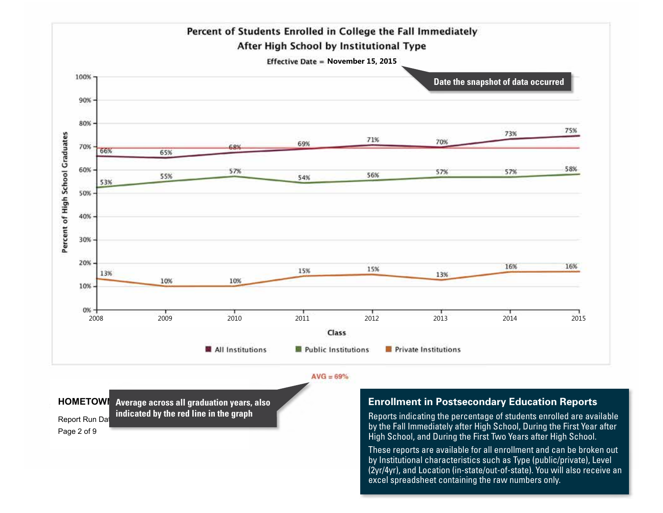

 $AVG = 69%$ 

**HOMETOWI** Average across all graduation years, also Report Run Dat **indicated by the red line in the graph**

# **Enrollment in Postsecondary Education Reports**

Page 2 of 9 ©2013 National Student Clearing Student Clearing Student Clearing the Student Clearing the Student Clearing the Student Clearing the First Two Years after High School. Reports indicating the percentage of students enrolled are available by the Fall Immediately after High School, During the First Year after

> These reports are available for all enrollment and can be broken out by Institutional characteristics such as Type (public/private), Level (2yr/4yr), and Location (in-state/out-of-state). You will also receive an excel spreadsheet containing the raw numbers only.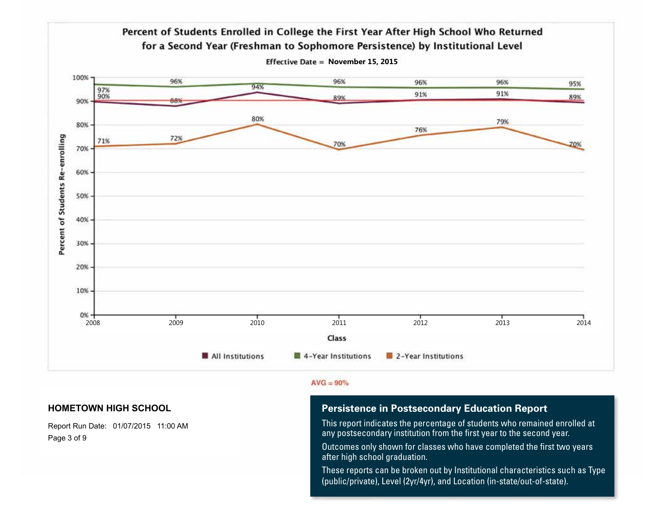

 $AVG = 90\%$ 

#### **HOMETOWN HIGH SCHOOL**

Report Run Date: 01/07/2015 11:00 AM Page 3 of 9

# **Persistence in Postsecondary Education Report**

This report indicates the percentage of students who remained enrolled at any postsecondary institution from the first year to the second year.

Outcomes only shown for classes who have completed the first two years after high school graduation.

These reports can be broken out by Institutional characteristics such as Type (public/private), Level (2yr/4yr), and Location (in-state/out-of-state).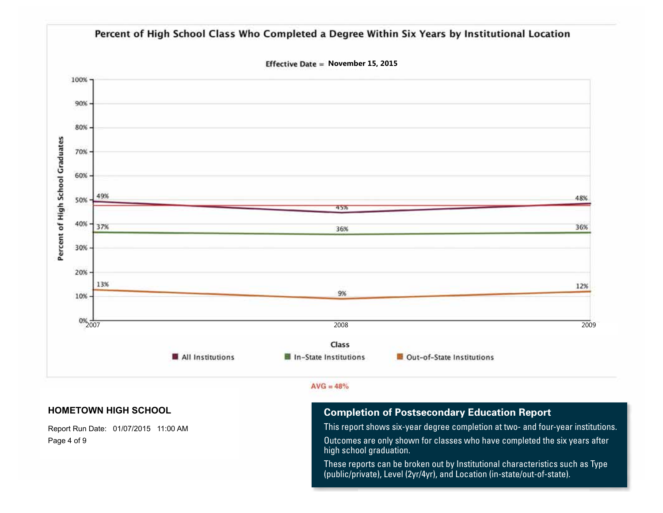

 $AVG = 48%$ 

#### **HOMETOWN HIGH SCHOOL**

Report Run Date: 01/07/2015 11:00 AM Page 4 of 9

# **Completion of Postsecondary Education Report**

This report shows six-year degree completion at two- and four-year institutions. Outcomes are only shown for classes who have completed the six years after high school graduation.

These reports can be broken out by Institutional characteristics such as Type (public/private), Level (2yr/4yr), and Location (in-state/out-of-state).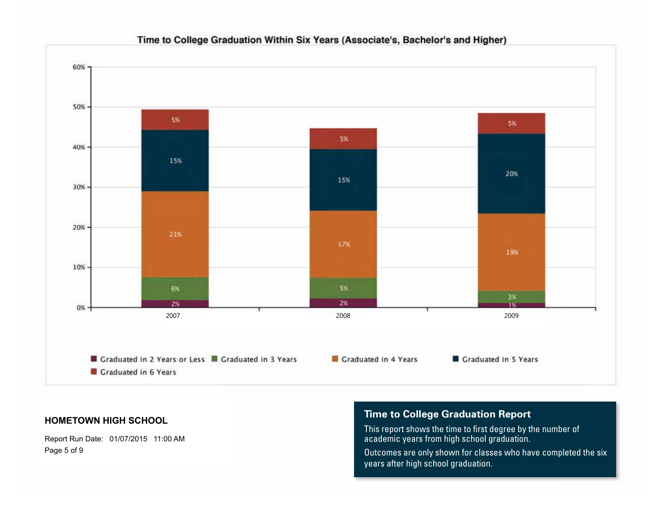

### Time to College Graduation Within Six Years (Associate's, Bachelor's and Higher)

#### **HOMETOWN HIGH SCHOOL**

Report Run Date: 01/07/2015 11:00 AM

# **Time to College Graduation Report**

This report shows the time to first degree by the number of academic years from high school graduation.

Page 5 of 9  $\blacksquare$ years after high school graduation.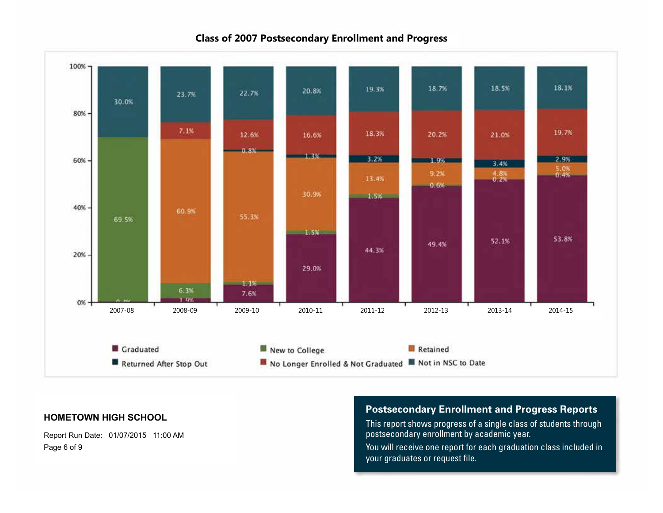

# **Class of 2007 Postsecondary Enrollment and Progress**

## **HOMETOWN HIGH SCHOOL**

Report Run Date: 01/07/2015 11:00 AM

# **Postsecondary Enrollment and Progress Reports**

This report shows progress of a single class of students through postsecondary enrollment by academic year.

Page 6 of 9 **East of Student Clearing Clearing Clearing Clearing Clearing Clearing Clearing Reserved.**<br>Page 6 of 9 **Clearing Clearing Clearing Clearing Clearing Clearing Clearing Clearing Clearing Clearing Clearing C** your graduates or request file.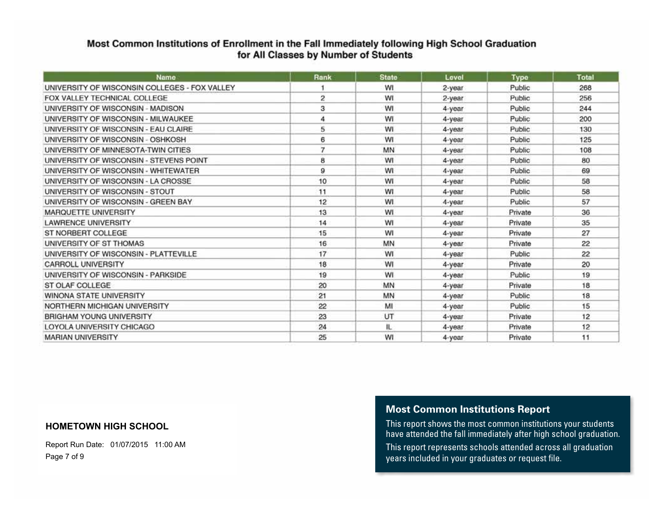# Most Common Institutions of Enrollment in the Fall Immediately following High School Graduation for All Classes by Number of Students

| Name                                          | Rank           | <b>State</b> | Level      | <b>Type</b> | <b>Total</b> |
|-----------------------------------------------|----------------|--------------|------------|-------------|--------------|
| UNIVERSITY OF WISCONSIN COLLEGES - FOX VALLEY | $\rightarrow$  | WI           | $2$ -year  | Public      | 268          |
| FOX VALLEY TECHNICAL COLLEGE                  | $\overline{c}$ | WI           | 2-year     | Public      | 256          |
| UNIVERSITY OF WISCONSIN - MADISON             | з              | WI           | 4-year     | Public      | 244          |
| UNIVERSITY OF WISCONSIN - MILWAUKEE           | 4              | WI           | 4-year     | Public      | 200          |
| UNIVERSITY OF WISCONSIN - FAU CLAIRE          | 5              | WI           | 4-year     | Public      | 130          |
| UNIVERSITY OF WISCONSIN - OSHKOSH             | 6              | WI           | 4-year     | Public      | 125          |
| UNIVERSITY OF MINNESOTA-TWIN CITIES           | 7              | MN           | 4-year     | Public      | 108          |
| UNIVERSITY OF WISCONSIN - STEVENS POINT       | 8              | WI           | 4-year     | Public      | 80           |
| UNIVERSITY OF WISCONSIN - WHITEWATER          | 9              | WI           | 4-year     | Public      | 69           |
| UNIVERSITY OF WISCONSIN - LA CROSSE           | 10             | WI           | 4-year     | Public      | 58           |
| UNIVERSITY OF WISCONSIN - STOUT               | 11             | WI           | 4-year     | Public      | 58           |
| UNIVERSITY OF WISCONSIN - GREEN BAY           | 12             | WI           | 4-year     | Public      | 57           |
| <b>MARQUETTE UNIVERSITY</b>                   | 13             | WI           | $4$ -year  | Private     | 36           |
| <b>LAWRENCE UNIVERSITY</b>                    | 14             | WI           | 4-year     | Private     | 35           |
| ST NORBERT COLLEGE                            | 15             | WI           | 4-year     | Private     | 27           |
| UNIVERSITY OF ST THOMAS                       | 16             | <b>MN</b>    | 4-year     | Private     | 22           |
| UNIVERSITY OF WISCONSIN - PLATTEVILLE         | 17             | WI           | 4-year     | Public      | 22           |
| <b>CARROLL UNIVERSITY</b>                     | 18             | WI           | 4-year     | Private     | 20           |
| UNIVERSITY OF WISCONSIN - PARKSIDE            | 19             | <b>WI</b>    | 4-year     | Public      | 19           |
| ST OLAF COLLEGE                               | 20             | MN           | 4-year     | Private     | 18           |
| WINONA STATE UNIVERSITY                       | 21             | MN           | 4-year     | Public      | 18           |
| NORTHERN MICHIGAN UNIVERSITY                  | 22             | MI           | 4-year     | Public      | 15           |
| <b>BRIGHAM YOUNG UNIVERSITY</b>               | 23             | UT           | $4 - year$ | Private     | 12           |
| LOYOLA UNIVERSITY CHICAGO                     | 24             | 北            | 4-year     | Private     | 12           |
| <b>MARIAN UNIVERSITY</b>                      | 25             | WI           | 4-year     | Private     | 11           |

#### **HOMETOWN HIGH SCHOOL**

Report Run Date: 01/07/2015 11:00 AM

# **Most Common Institutions Report**

Page 7 of 9 ©2013 National Student Clearing Clearing reserved. The report represents sensors attended as seen all rights reserved. The reserved of the second clearing reserved. The reserved of the second clearing version o This report shows the most common institutions your students have attended the fall immediately after high school graduation. This report represents schools attended across all graduation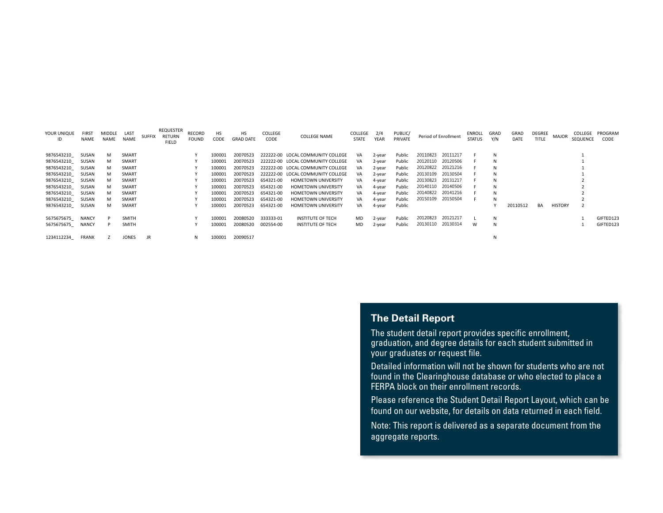| YOUR UNIQUE<br>ID | <b>FIRST</b><br>NAME | MIDDLE<br>NAME | LAST<br><b>NAME</b> | <b>SUFFIX</b> | REQUESTER<br><b>RETURN</b><br><b>FIELD</b> | RECORD<br><b>FOUND</b> | <b>HS</b><br>CODE | HS<br><b>GRAD DATE</b> | COLLEGE<br>CODE | <b>COLLEGE NAME</b>               | COLLEGE<br>STATE | 2/4<br>YEAR | PUBLIC/<br>PRIVATE | Period of Enrollment | ENROLL<br><b>STATUS</b> | GRAD<br>Y/N | GRAD<br>DATE | DEGREE<br><b>TITLE</b> | <b>MAJOR</b>   | COLLEGE<br>SEQUENCE | PROGRAM<br>CODE |
|-------------------|----------------------|----------------|---------------------|---------------|--------------------------------------------|------------------------|-------------------|------------------------|-----------------|-----------------------------------|------------------|-------------|--------------------|----------------------|-------------------------|-------------|--------------|------------------------|----------------|---------------------|-----------------|
| 9876543210        | SUSAN                | M              | SMART               |               |                                            |                        | 100001            | 20070523               |                 | 222222-00 LOCAL COMMUNITY COLLEGE | VA.              | 2-year      | Public             | 20110823<br>20111217 |                         | N           |              |                        |                |                     |                 |
| 9876543210        | SUSAN                | M              | SMART               |               |                                            |                        | 100001            | 20070523               |                 | 222222-00 LOCAL COMMUNITY COLLEGE | VA.              | 2-year      | Public             | 20120110<br>20120506 |                         |             |              |                        |                |                     |                 |
| 9876543210        | SUSAN                | M              | SMART               |               |                                            |                        | 100001            | 20070523               |                 | 222222-00 LOCAL COMMUNITY COLLEGE | VA               | 2-year      | Public             | 20120822<br>20121216 |                         |             |              |                        |                |                     |                 |
| 9876543210        | SUSAN                | M              | SMART               |               |                                            |                        | 100001            | 20070523               |                 | 222222-00 LOCAL COMMUNITY COLLEGE | VA               | 2-year      | Public             | 20130109<br>20130504 |                         |             |              |                        |                |                     |                 |
| 9876543210        | SUSAN                | M              | SMART               |               |                                            |                        | 100001            | 20070523               | 654321-00       | <b>HOMETOWN UNIVERSITY</b>        | VA               | 4-year      | Public             | 20130823<br>20131217 |                         |             |              |                        |                |                     |                 |
| 9876543210        | SUSAN                | M              | SMART               |               |                                            |                        | 100001            | 20070523               | 654321-00       | <b>HOMETOWN UNIVERSITY</b>        | VA               | 4-year      | Public             | 20140110<br>20140506 |                         |             |              |                        |                |                     |                 |
| 9876543210        | SUSAN                | м              | SMART               |               |                                            |                        | 100001            | 20070523               | 654321-00       | <b>HOMETOWN UNIVERSITY</b>        | VA               | 4-year      | Public             | 20140822<br>20141216 |                         |             |              |                        |                |                     |                 |
| 9876543210        | SUSAN                | м              | SMART               |               |                                            |                        | 100001            | 20070523               | 654321-00       | <b>HOMETOWN UNIVERSITY</b>        | VA               | 4-year      | Public             | 20150109<br>20150504 |                         | N           |              |                        |                |                     |                 |
| 9876543210 SUSAN  |                      | м              | SMART               |               |                                            |                        | 100001            | 20070523               | 654321-00       | <b>HOMETOWN UNIVERSITY</b>        | VA               | 4-year      | Public             |                      |                         |             | 20110512     | BA                     | <b>HISTORY</b> |                     |                 |
| 5675675675        | <b>NANCY</b>         |                | <b>SMITH</b>        |               |                                            |                        | 100001            | 20080520               | 333333-01       | <b>INSTITUTE OF TECH</b>          | MD               | 2-year      | Public             | 20120823<br>20121217 |                         | N           |              |                        |                |                     | GIFTED123       |
| 5675675675        | <b>NANCY</b>         |                | <b>SMITH</b>        |               |                                            |                        | 100001            | 20080520               | 002554-00       | <b>INSTITUTE OF TECH</b>          | MD               | 2-year      | Public             | 20130110<br>20130314 | W                       | N           |              |                        |                |                     | GIFTED123       |
| 1234112234        | <b>FRANK</b>         |                | <b>JONES</b>        | JR            |                                            |                        | 100001            | 20090517               |                 |                                   |                  |             |                    |                      |                         | N           |              |                        |                |                     |                 |

## **The Detail Report**

The student detail report provides specific enrollment, graduation, and degree details for each student submitted in your graduates or request file.

Detailed information will not be shown for students who are not found in the Clearinghouse database or who elected to place a FERPA block on their enrollment records.

Please reference the Student Detail Report Layout, which can be found on our website, for details on data returned in each field.

Note: This report is delivered as a separate document from the aggregate reports.